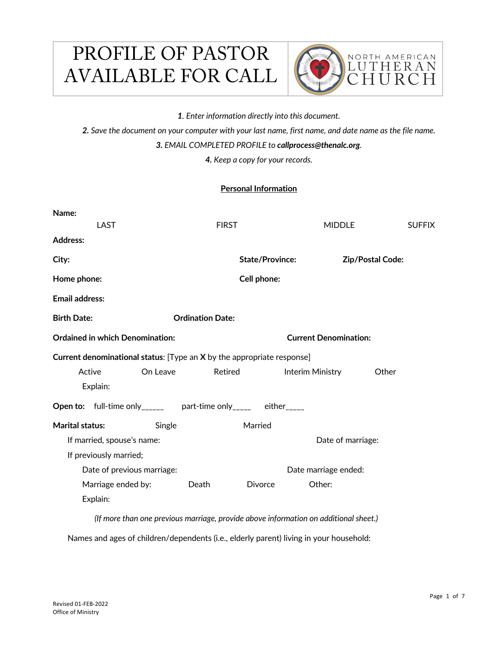# PROFILE OF PASTOR AVAILABLE FOR CALL



*1. Enter information directly into this document.*

*2. Save the document on your computer with your last name, first name, and date name as the file name. 3. EMAIL COMPLETED PROFILE to callprocess@thenalc.org.* 

*4. Keep a copy for your records.*

# **Personal Information**

| Name:                                                                  |                        |                         |                              |                   |                         |               |
|------------------------------------------------------------------------|------------------------|-------------------------|------------------------------|-------------------|-------------------------|---------------|
| LAST                                                                   |                        | <b>FIRST</b>            |                              | <b>MIDDLE</b>     |                         | <b>SUFFIX</b> |
| <b>Address:</b>                                                        |                        |                         |                              |                   |                         |               |
| City:                                                                  |                        |                         | <b>State/Province:</b>       |                   | <b>Zip/Postal Code:</b> |               |
| Home phone:                                                            |                        |                         | Cell phone:                  |                   |                         |               |
| <b>Email address:</b>                                                  |                        |                         |                              |                   |                         |               |
| <b>Birth Date:</b>                                                     |                        | <b>Ordination Date:</b> |                              |                   |                         |               |
| <b>Ordained in which Denomination:</b>                                 |                        |                         | <b>Current Denomination:</b> |                   |                         |               |
| Current denominational status: [Type an X by the appropriate response] |                        |                         |                              |                   |                         |               |
| Active                                                                 | On Leave               | Retired                 |                              | Interim Ministry  | Other                   |               |
| Explain:                                                               |                        |                         |                              |                   |                         |               |
| Open to: full-time only______ part-time only_____ either____           |                        |                         |                              |                   |                         |               |
| <b>Marital status:</b>                                                 | Single                 |                         | Married                      |                   |                         |               |
| If married, spouse's name:                                             |                        |                         |                              | Date of marriage: |                         |               |
|                                                                        | If previously married; |                         |                              |                   |                         |               |
| Date of previous marriage:                                             |                        |                         | Date marriage ended:         |                   |                         |               |
| Marriage ended by:                                                     |                        | Death                   | Divorce                      | Other:            |                         |               |
| Explain:                                                               |                        |                         |                              |                   |                         |               |
|                                                                        |                        |                         |                              |                   |                         |               |

*(If more than one previous marriage, provide above information on additional sheet.)*

Names and ages of children/dependents (i.e., elderly parent) living in your household: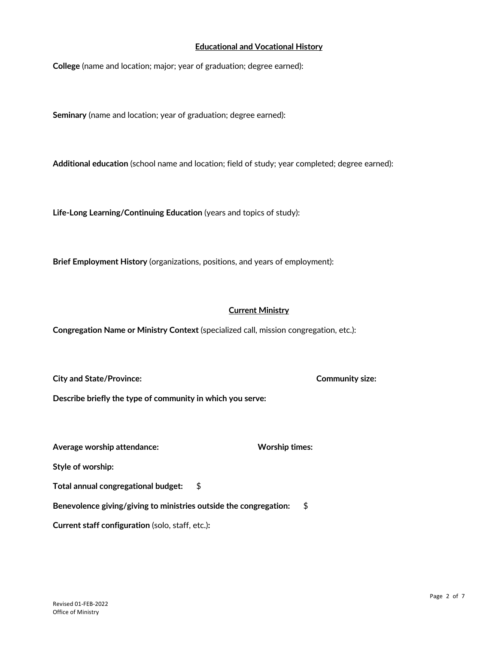# **Educational and Vocational History**

**College** (name and location; major; year of graduation; degree earned):

**Seminary** (name and location; year of graduation; degree earned):

**Additional education** (school name and location; field of study; year completed; degree earned):

**Life-Long Learning/Continuing Education** (years and topics of study):

**Brief Employment History** (organizations, positions, and years of employment):

# **Current Ministry**

**Congregation Name or Ministry Context** (specialized call, mission congregation, etc.):

**City and State/Province: Community size:**

**Describe briefly the type of community in which you serve:**

Average worship attendance: **Worship times:** Worship times:

**Style of worship:**

**Total annual congregational budget:** \$

**Benevolence giving/giving to ministries outside the congregation:** \$

**Current staff configuration** (solo, staff, etc.)**:**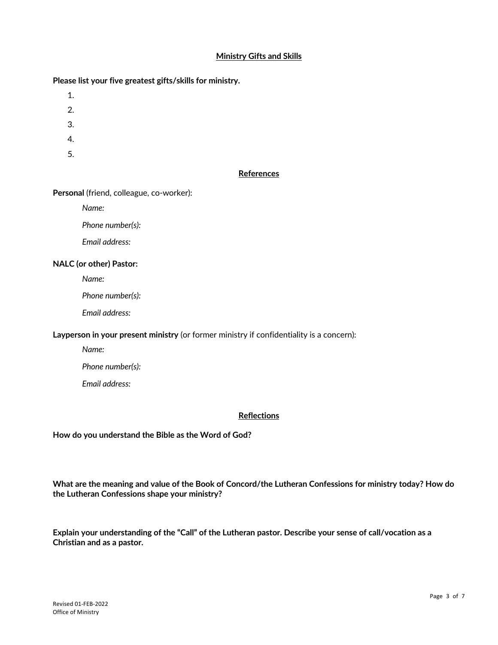# **Ministry Gifts and Skills**

# **Please list your five greatest gifts/skills for ministry.**

- 1.
- 2.
- 3.
- 
- 4.
- 5.

# **References**

# **Personal** (friend, colleague, co-worker):

*Name:*

*Phone number(s):*

*Email address:*

# **NALC (or other) Pastor:**

*Name:*

*Phone number(s):*

*Email address:*

#### **Layperson in your present ministry** (or former ministry if confidentiality is a concern):

*Name:*

*Phone number(s):*

*Email address:*

# **Reflections**

**How do you understand the Bible as the Word of God?** 

**What are the meaning and value of the Book of Concord/the Lutheran Confessions for ministry today? How do the Lutheran Confessions shape your ministry?**

**Explain your understanding of the "Call" of the Lutheran pastor. Describe your sense of call/vocation as a Christian and as a pastor.**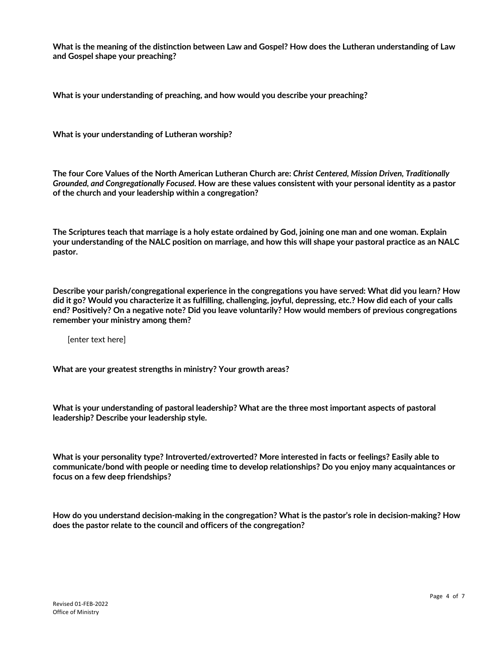**What is the meaning of the distinction between Law and Gospel? How does the Lutheran understanding of Law and Gospel shape your preaching?**

**What is your understanding of preaching, and how would you describe your preaching?**

**What is your understanding of Lutheran worship?**

**The four Core Values of the North American Lutheran Church are:** *Christ Centered, Mission Driven, Traditionally Grounded, and Congregationally Focused***. How are these values consistent with your personal identity as a pastor of the church and your leadership within a congregation?**

**The Scriptures teach that marriage is a holy estate ordained by God, joining one man and one woman. Explain your understanding of the NALC position on marriage, and how this will shape your pastoral practice as an NALC pastor.**

**Describe your parish/congregational experience in the congregations you have served: What did you learn? How did it go? Would you characterize it as fulfilling, challenging, joyful, depressing, etc.? How did each of your calls end? Positively? On a negative note? Did you leave voluntarily? How would members of previous congregations remember your ministry among them?**

[enter text here]

**What are your greatest strengths in ministry? Your growth areas?** 

**What is your understanding of pastoral leadership? What are the three most important aspects of pastoral leadership? Describe your leadership style.**

**What is your personality type? Introverted/extroverted? More interested in facts or feelings? Easily able to communicate/bond with people or needing time to develop relationships? Do you enjoy many acquaintances or focus on a few deep friendships?**

**How do you understand decision-making in the congregation? What is the pastor's role in decision-making? How does the pastor relate to the council and officers of the congregation?**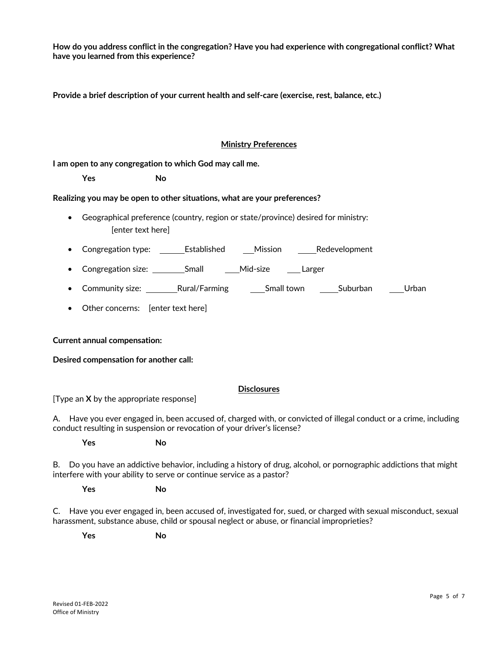**How do you address conflict in the congregation? Have you had experience with congregational conflict? What have you learned from this experience?** 

**Provide a brief description of your current health and self-care (exercise, rest, balance, etc.)**

# **Ministry Preferences**

**I am open to any congregation to which God may call me.** 

 **Yes No**

# **Realizing you may be open to other situations, what are your preferences?**

- Geographical preference (country, region or state/province) desired for ministry: [enter text here]
- Congregation type: \_\_\_\_\_\_\_Established \_\_\_\_\_Mission \_\_\_\_\_\_\_Redevelopment
- Congregation size: \_\_\_\_\_\_\_\_\_\_Small \_\_\_\_\_\_\_\_\_\_Mid-size \_\_\_\_\_\_Larger
- Community size: The Rural/Farming Small town Suburban Urban
- Other concerns: [enter text here]

# **Current annual compensation:**

**Desired compensation for another call:**

# **Disclosures**

[Type an **X** by the appropriate response]

A. Have you ever engaged in, been accused of, charged with, or convicted of illegal conduct or a crime, including conduct resulting in suspension or revocation of your driver's license?

 **Yes No**

B. Do you have an addictive behavior, including a history of drug, alcohol, or pornographic addictions that might interfere with your ability to serve or continue service as a pastor?

 **Yes No**

C. Have you ever engaged in, been accused of, investigated for, sued, or charged with sexual misconduct, sexual harassment, substance abuse, child or spousal neglect or abuse, or financial improprieties?

 **Yes No**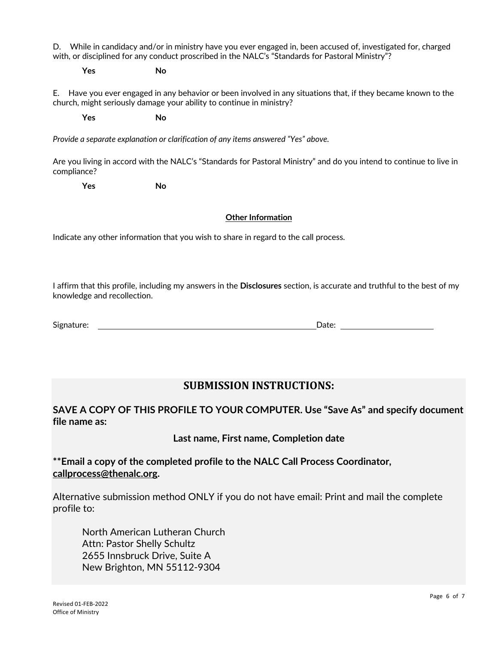D. While in candidacy and/or in ministry have you ever engaged in, been accused of, investigated for, charged with, or disciplined for any conduct proscribed in the NALC's "Standards for Pastoral Ministry"?

 **Yes No**

E. Have you ever engaged in any behavior or been involved in any situations that, if they became known to the church, might seriously damage your ability to continue in ministry?

 **Yes No**

*Provide a separate explanation or clarification of any items answered "Yes" above.*

Are you living in accord with the NALC's "Standards for Pastoral Ministry" and do you intend to continue to live in compliance?

 **Yes No**

# **Other Information**

Indicate any other information that you wish to share in regard to the call process.

I affirm that this profile, including my answers in the **Disclosures** section, is accurate and truthful to the best of my knowledge and recollection.

Signature: Date: Date: Date: Date: Date: Date: Date: Date: Date: Date: Date: Date: Date: Date: Date: Date: Date: Date: Date: Date: Date: Date: Date: Date: Date: Date: Date: Date: Date: Date: Date: Date: Date: Date: Date: D

# **SUBMISSION INSTRUCTIONS:**

# **SAVE A COPY OF THIS PROFILE TO YOUR COMPUTER. Use "Save As" and specify document file name as:**

**Last name, First name, Completion date**

**\*\*Email a copy of the completed profile to the NALC Call Process Coordinator, callprocess@thenalc.org.**

Alternative submission method ONLY if you do not have email: Print and mail the complete profile to:

North American Lutheran Church Attn: Pastor Shelly Schultz 2655 Innsbruck Drive, Suite A New Brighton, MN 55112-9304